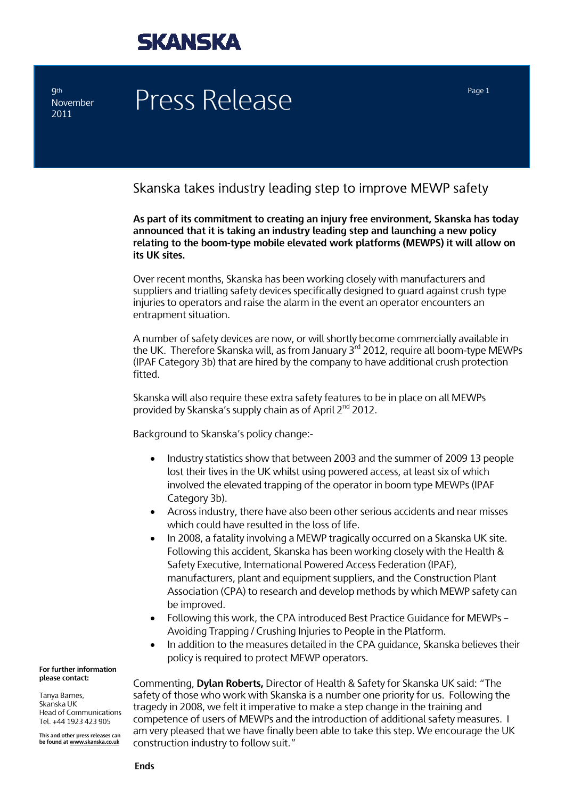

**9th November** 2011

# Press Release Press Page 1

### Skanska takes industry leading step to improve MEWP safety

**As part of its commitment to creating an injury free environment, Skanska has today announced that it is taking an industry leading step and launching a new policy relating to the boom-type mobile elevated work platforms (MEWPS) it will allow on its UK sites.** 

Over recent months, Skanska has been working closely with manufacturers and suppliers and trialling safety devices specifically designed to guard against crush type injuries to operators and raise the alarm in the event an operator encounters an entrapment situation.

A number of safety devices are now, or will shortly become commercially available in the UK. Therefore Skanska will, as from January  $3^{rd}$  2012, require all boom-type MEWPs (IPAF Category 3b) that are hired by the company to have additional crush protection fitted.

Skanska will also require these extra safety features to be in place on all MEWPs provided by Skanska's supply chain as of April 2nd 2012.

Background to Skanska's policy change:-

- Industry statistics show that between 2003 and the summer of 2009 13 people lost their lives in the UK whilst using powered access, at least six of which involved the elevated trapping of the operator in boom type MEWPs (IPAF Category 3b).
- Across industry, there have also been other serious accidents and near misses which could have resulted in the loss of life.
- In 2008, a fatality involving a MEWP tragically occurred on a Skanska UK site. Following this accident, Skanska has been working closely with the Health & Safety Executive, International Powered Access Federation (IPAF), manufacturers, plant and equipment suppliers, and the Construction Plant Association (CPA) to research and develop methods by which MEWP safety can be improved.
- Following this work, the CPA introduced Best Practice Guidance for MEWPs Avoiding Trapping / Crushing Injuries to People in the Platform.
- In addition to the measures detailed in the CPA guidance, Skanska believes their policy is required to protect MEWP operators.

Commenting, **Dylan Roberts,** Director of Health & Safety for Skanska UK said: "The safety of those who work with Skanska is a number one priority for us. Following the tragedy in 2008, we felt it imperative to make a step change in the training and competence of users of MEWPs and the introduction of additional safety measures. I am very pleased that we have finally been able to take this step. We encourage the UK construction industry to follow suit."

**For further information please contact:** 

Tanya Barnes, Skanska UK Head of Communications Tel. +44 1923 423 905

**This and other press releases can be found at www.skanska.co.uk**